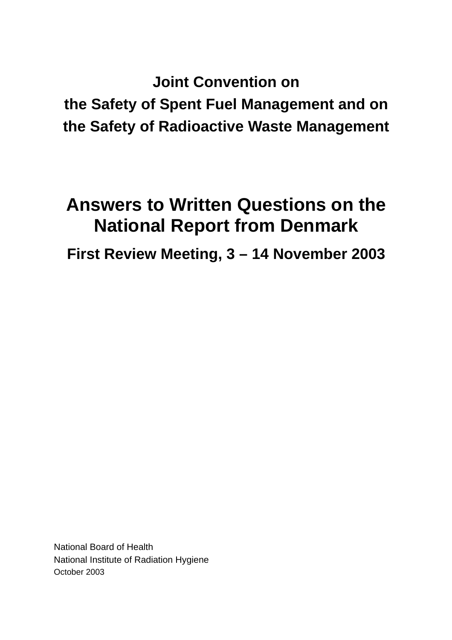**Joint Convention on the Safety of Spent Fuel Management and on the Safety of Radioactive Waste Management**

# **Answers to Written Questions on the National Report from Denmark**

**First Review Meeting, 3 – 14 November 2003** 

National Board of Health National Institute of Radiation Hygiene October 2003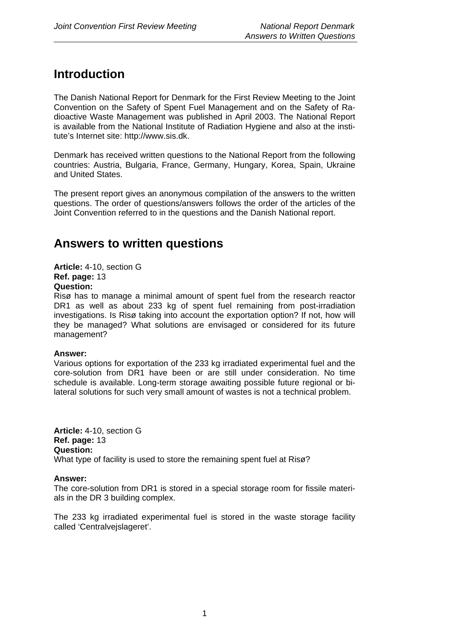# **Introduction**

The Danish National Report for Denmark for the First Review Meeting to the Joint Convention on the Safety of Spent Fuel Management and on the Safety of Radioactive Waste Management was published in April 2003. The National Report is available from the National Institute of Radiation Hygiene and also at the institute's Internet site: http://www.sis.dk.

Denmark has received written questions to the National Report from the following countries: Austria, Bulgaria, France, Germany, Hungary, Korea, Spain, Ukraine and United States.

The present report gives an anonymous compilation of the answers to the written questions. The order of questions/answers follows the order of the articles of the Joint Convention referred to in the questions and the Danish National report.

## **Answers to written questions**

**Article:** 4-10, section G **Ref. page:** 13 **Question:**

Risø has to manage a minimal amount of spent fuel from the research reactor DR1 as well as about 233 kg of spent fuel remaining from post-irradiation investigations. Is Risø taking into account the exportation option? If not, how will they be managed? What solutions are envisaged or considered for its future management?

### **Answer:**

Various options for exportation of the 233 kg irradiated experimental fuel and the core-solution from DR1 have been or are still under consideration. No time schedule is available. Long-term storage awaiting possible future regional or bilateral solutions for such very small amount of wastes is not a technical problem.

**Article:** 4-10, section G **Ref. page:** 13 **Question:** What type of facility is used to store the remaining spent fuel at Risø?

### **Answer:**

The core-solution from DR1 is stored in a special storage room for fissile materials in the DR 3 building complex.

The 233 kg irradiated experimental fuel is stored in the waste storage facility called 'Centralvejslageret'.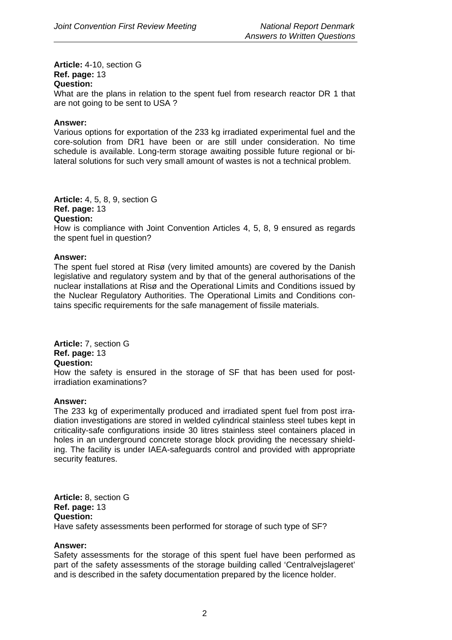**Article:** 4-10, section G **Ref. page:** 13 **Question:**

What are the plans in relation to the spent fuel from research reactor DR 1 that are not going to be sent to USA ?

### **Answer:**

Various options for exportation of the 233 kg irradiated experimental fuel and the core-solution from DR1 have been or are still under consideration. No time schedule is available. Long-term storage awaiting possible future regional or bilateral solutions for such very small amount of wastes is not a technical problem.

**Article:** 4, 5, 8, 9, section G **Ref. page:** 13

### **Question:**

How is compliance with Joint Convention Articles 4, 5, 8, 9 ensured as regards the spent fuel in question?

### **Answer:**

The spent fuel stored at Risø (very limited amounts) are covered by the Danish legislative and regulatory system and by that of the general authorisations of the nuclear installations at Risø and the Operational Limits and Conditions issued by the Nuclear Regulatory Authorities. The Operational Limits and Conditions contains specific requirements for the safe management of fissile materials.

**Article:** 7, section G **Ref. page:** 13 **Question:**

How the safety is ensured in the storage of SF that has been used for postirradiation examinations?

### **Answer:**

The 233 kg of experimentally produced and irradiated spent fuel from post irradiation investigations are stored in welded cylindrical stainless steel tubes kept in criticality-safe configurations inside 30 litres stainless steel containers placed in holes in an underground concrete storage block providing the necessary shielding. The facility is under IAEA-safeguards control and provided with appropriate security features.

**Article:** 8, section G **Ref. page:** 13 **Question:** Have safety assessments been performed for storage of such type of SF?

### **Answer:**

Safety assessments for the storage of this spent fuel have been performed as part of the safety assessments of the storage building called 'Centralvejslageret' and is described in the safety documentation prepared by the licence holder.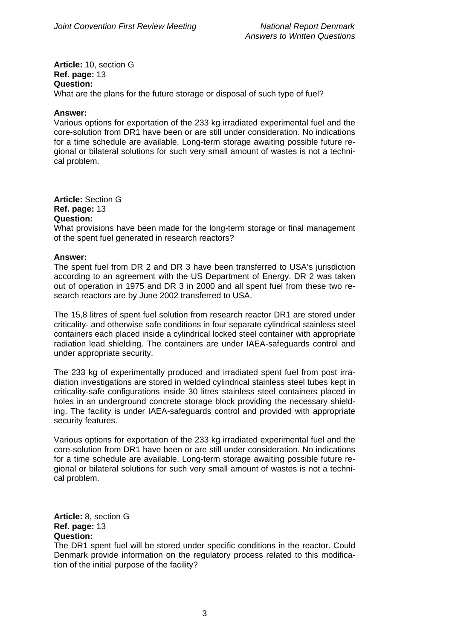**Article:** 10, section G **Ref. page:** 13 **Question:**

What are the plans for the future storage or disposal of such type of fuel?

### **Answer:**

Various options for exportation of the 233 kg irradiated experimental fuel and the core-solution from DR1 have been or are still under consideration. No indications for a time schedule are available. Long-term storage awaiting possible future regional or bilateral solutions for such very small amount of wastes is not a technical problem.

**Article:** Section G **Ref. page:** 13 **Question:**

What provisions have been made for the long-term storage or final management of the spent fuel generated in research reactors?

### **Answer:**

The spent fuel from DR 2 and DR 3 have been transferred to USA's jurisdiction according to an agreement with the US Department of Energy. DR 2 was taken out of operation in 1975 and DR 3 in 2000 and all spent fuel from these two research reactors are by June 2002 transferred to USA.

The 15,8 litres of spent fuel solution from research reactor DR1 are stored under criticality- and otherwise safe conditions in four separate cylindrical stainless steel containers each placed inside a cylindrical locked steel container with appropriate radiation lead shielding. The containers are under IAEA-safeguards control and under appropriate security.

The 233 kg of experimentally produced and irradiated spent fuel from post irradiation investigations are stored in welded cylindrical stainless steel tubes kept in criticality-safe configurations inside 30 litres stainless steel containers placed in holes in an underground concrete storage block providing the necessary shielding. The facility is under IAEA-safeguards control and provided with appropriate security features.

Various options for exportation of the 233 kg irradiated experimental fuel and the core-solution from DR1 have been or are still under consideration. No indications for a time schedule are available. Long-term storage awaiting possible future regional or bilateral solutions for such very small amount of wastes is not a technical problem.

**Article:** 8, section G **Ref. page:** 13 **Question:** 

The DR1 spent fuel will be stored under specific conditions in the reactor. Could Denmark provide information on the regulatory process related to this modification of the initial purpose of the facility?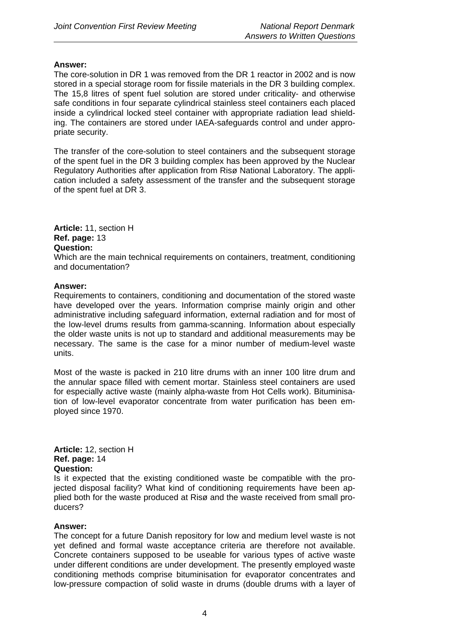The core-solution in DR 1 was removed from the DR 1 reactor in 2002 and is now stored in a special storage room for fissile materials in the DR 3 building complex. The 15,8 litres of spent fuel solution are stored under criticality- and otherwise safe conditions in four separate cylindrical stainless steel containers each placed inside a cylindrical locked steel container with appropriate radiation lead shielding. The containers are stored under IAEA-safeguards control and under appropriate security.

The transfer of the core-solution to steel containers and the subsequent storage of the spent fuel in the DR 3 building complex has been approved by the Nuclear Regulatory Authorities after application from Risø National Laboratory. The application included a safety assessment of the transfer and the subsequent storage of the spent fuel at DR 3.

**Article:** 11, section H **Ref. page:** 13 **Question:**

Which are the main technical requirements on containers, treatment, conditioning and documentation?

### **Answer:**

Requirements to containers, conditioning and documentation of the stored waste have developed over the years. Information comprise mainly origin and other administrative including safeguard information, external radiation and for most of the low-level drums results from gamma-scanning. Information about especially the older waste units is not up to standard and additional measurements may be necessary. The same is the case for a minor number of medium-level waste units.

Most of the waste is packed in 210 litre drums with an inner 100 litre drum and the annular space filled with cement mortar. Stainless steel containers are used for especially active waste (mainly alpha-waste from Hot Cells work). Bituminisation of low-level evaporator concentrate from water purification has been employed since 1970.

### **Article:** 12, section H **Ref. page:** 14 **Question:**

Is it expected that the existing conditioned waste be compatible with the projected disposal facility? What kind of conditioning requirements have been applied both for the waste produced at Risø and the waste received from small producers?

### **Answer:**

The concept for a future Danish repository for low and medium level waste is not yet defined and formal waste acceptance criteria are therefore not available. Concrete containers supposed to be useable for various types of active waste under different conditions are under development. The presently employed waste conditioning methods comprise bituminisation for evaporator concentrates and low-pressure compaction of solid waste in drums (double drums with a layer of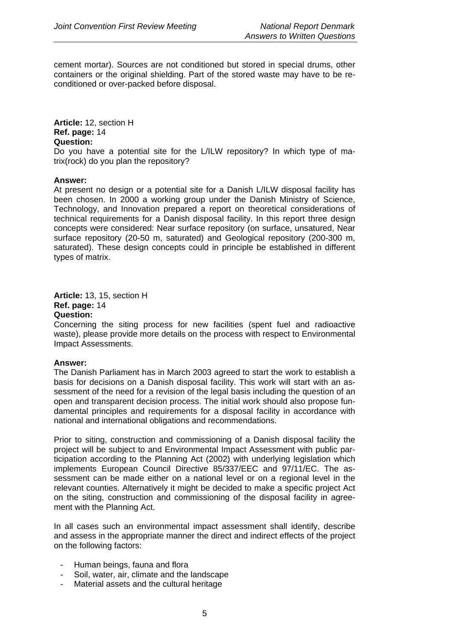cement mortar). Sources are not conditioned but stored in special drums, other containers or the original shielding. Part of the stored waste may have to be reconditioned or over-packed before disposal.

### **Article:** 12, section H **Ref. page:** 14 **Question:**

Do you have a potential site for the L/ILW repository? In which type of matrix(rock) do you plan the repository?

### **Answer:**

At present no design or a potential site for a Danish L/ILW disposal facility has been chosen. In 2000 a working group under the Danish Ministry of Science, Technology, and Innovation prepared a report on theoretical considerations of technical requirements for a Danish disposal facility. In this report three design concepts were considered: Near surface repository (on surface, unsatured, Near surface repository (20-50 m, saturated) and Geological repository (200-300 m, saturated). These design concepts could in principle be established in different types of matrix.

### **Article:** 13, 15, section H **Ref. page:** 14 **Question:**

Concerning the siting process for new facilities (spent fuel and radioactive waste), please provide more details on the process with respect to Environmental Impact Assessments.

### **Answer:**

The Danish Parliament has in March 2003 agreed to start the work to establish a basis for decisions on a Danish disposal facility. This work will start with an assessment of the need for a revision of the legal basis including the question of an open and transparent decision process. The initial work should also propose fundamental principles and requirements for a disposal facility in accordance with national and international obligations and recommendations.

Prior to siting, construction and commissioning of a Danish disposal facility the project will be subject to and Environmental Impact Assessment with public participation according to the Planning Act (2002) with underlying legislation which implements European Council Directive 85/337/EEC and 97/11/EC. The assessment can be made either on a national level or on a regional level in the relevant counties. Alternatively it might be decided to make a specific project Act on the siting, construction and commissioning of the disposal facility in agreement with the Planning Act.

In all cases such an environmental impact assessment shall identify, describe and assess in the appropriate manner the direct and indirect effects of the project on the following factors:

- Human beings, fauna and flora
- Soil, water, air, climate and the landscape
- Material assets and the cultural heritage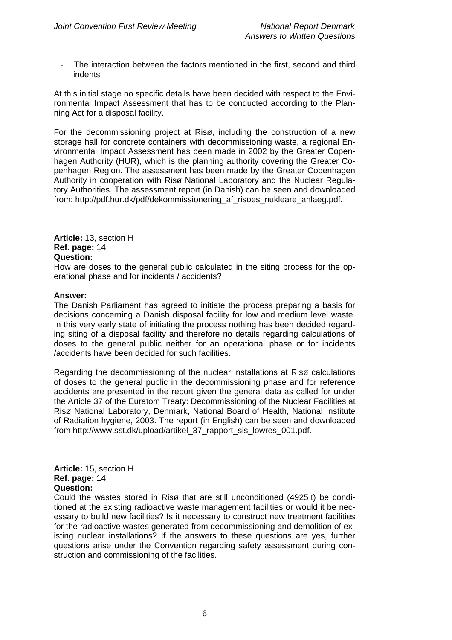The interaction between the factors mentioned in the first, second and third indents

At this initial stage no specific details have been decided with respect to the Environmental Impact Assessment that has to be conducted according to the Planning Act for a disposal facility.

For the decommissioning project at Risø, including the construction of a new storage hall for concrete containers with decommissioning waste, a regional Environmental Impact Assessment has been made in 2002 by the Greater Copenhagen Authority (HUR), which is the planning authority covering the Greater Copenhagen Region. The assessment has been made by the Greater Copenhagen Authority in cooperation with Risø National Laboratory and the Nuclear Regulatory Authorities. The assessment report (in Danish) can be seen and downloaded from: http://pdf.hur.dk/pdf/dekommissionering\_af\_risoes\_nukleare\_anlaeg.pdf.

**Article:** 13, section H **Ref. page:** 14 **Question:** 

How are doses to the general public calculated in the siting process for the operational phase and for incidents / accidents?

### **Answer:**

The Danish Parliament has agreed to initiate the process preparing a basis for decisions concerning a Danish disposal facility for low and medium level waste. In this very early state of initiating the process nothing has been decided regarding siting of a disposal facility and therefore no details regarding calculations of doses to the general public neither for an operational phase or for incidents /accidents have been decided for such facilities.

Regarding the decommissioning of the nuclear installations at Risø calculations of doses to the general public in the decommissioning phase and for reference accidents are presented in the report given the general data as called for under the Article 37 of the Euratom Treaty: Decommissioning of the Nuclear Facilities at Risø National Laboratory, Denmark, National Board of Health, National Institute of Radiation hygiene, 2003. The report (in English) can be seen and downloaded from http://www.sst.dk/upload/artikel\_37\_rapport\_sis\_lowres\_001.pdf.

**Article:** 15, section H **Ref. page:** 14 **Question:** 

Could the wastes stored in Risø that are still unconditioned (4925 t) be conditioned at the existing radioactive waste management facilities or would it be necessary to build new facilities? Is it necessary to construct new treatment facilities for the radioactive wastes generated from decommissioning and demolition of existing nuclear installations? If the answers to these questions are yes, further questions arise under the Convention regarding safety assessment during construction and commissioning of the facilities.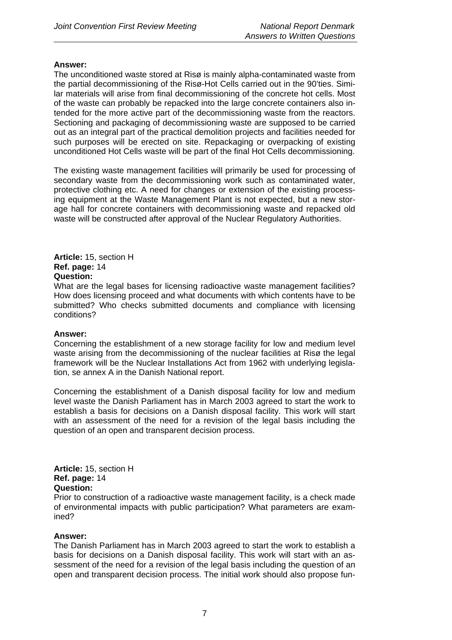The unconditioned waste stored at Risø is mainly alpha-contaminated waste from the partial decommissioning of the Risø-Hot Cells carried out in the 90'ties. Similar materials will arise from final decommissioning of the concrete hot cells. Most of the waste can probably be repacked into the large concrete containers also intended for the more active part of the decommissioning waste from the reactors. Sectioning and packaging of decommissioning waste are supposed to be carried out as an integral part of the practical demolition projects and facilities needed for such purposes will be erected on site. Repackaging or overpacking of existing unconditioned Hot Cells waste will be part of the final Hot Cells decommissioning.

The existing waste management facilities will primarily be used for processing of secondary waste from the decommissioning work such as contaminated water, protective clothing etc. A need for changes or extension of the existing processing equipment at the Waste Management Plant is not expected, but a new storage hall for concrete containers with decommissioning waste and repacked old waste will be constructed after approval of the Nuclear Regulatory Authorities.

### **Article:** 15, section H **Ref. page:** 14 **Question:**

What are the legal bases for licensing radioactive waste management facilities? How does licensing proceed and what documents with which contents have to be submitted? Who checks submitted documents and compliance with licensing conditions?

### **Answer:**

Concerning the establishment of a new storage facility for low and medium level waste arising from the decommissioning of the nuclear facilities at Risø the legal framework will be the Nuclear Installations Act from 1962 with underlying legislation, se annex A in the Danish National report.

Concerning the establishment of a Danish disposal facility for low and medium level waste the Danish Parliament has in March 2003 agreed to start the work to establish a basis for decisions on a Danish disposal facility. This work will start with an assessment of the need for a revision of the legal basis including the question of an open and transparent decision process.

### **Article:** 15, section H **Ref. page:** 14 **Question:**

Prior to construction of a radioactive waste management facility, is a check made of environmental impacts with public participation? What parameters are examined?

### **Answer:**

The Danish Parliament has in March 2003 agreed to start the work to establish a basis for decisions on a Danish disposal facility. This work will start with an assessment of the need for a revision of the legal basis including the question of an open and transparent decision process. The initial work should also propose fun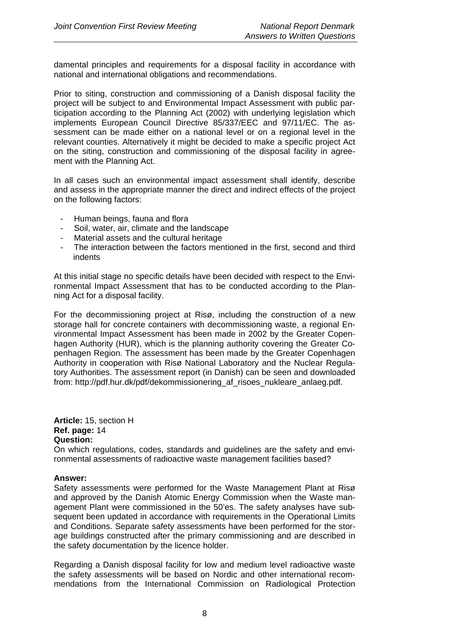damental principles and requirements for a disposal facility in accordance with national and international obligations and recommendations.

Prior to siting, construction and commissioning of a Danish disposal facility the project will be subject to and Environmental Impact Assessment with public participation according to the Planning Act (2002) with underlying legislation which implements European Council Directive 85/337/EEC and 97/11/EC. The assessment can be made either on a national level or on a regional level in the relevant counties. Alternatively it might be decided to make a specific project Act on the siting, construction and commissioning of the disposal facility in agreement with the Planning Act.

In all cases such an environmental impact assessment shall identify, describe and assess in the appropriate manner the direct and indirect effects of the project on the following factors:

- Human beings, fauna and flora
- Soil, water, air, climate and the landscape
- Material assets and the cultural heritage
- The interaction between the factors mentioned in the first, second and third indents

At this initial stage no specific details have been decided with respect to the Environmental Impact Assessment that has to be conducted according to the Planning Act for a disposal facility.

For the decommissioning project at Risø, including the construction of a new storage hall for concrete containers with decommissioning waste, a regional Environmental Impact Assessment has been made in 2002 by the Greater Copenhagen Authority (HUR), which is the planning authority covering the Greater Copenhagen Region. The assessment has been made by the Greater Copenhagen Authority in cooperation with Risø National Laboratory and the Nuclear Regulatory Authorities. The assessment report (in Danish) can be seen and downloaded from: http://pdf.hur.dk/pdf/dekommissionering\_af\_risoes\_nukleare\_anlaeg.pdf.

**Article:** 15, section H **Ref. page:** 14 **Question:** 

On which regulations, codes, standards and guidelines are the safety and environmental assessments of radioactive waste management facilities based?

### **Answer:**

Safety assessments were performed for the Waste Management Plant at Risø and approved by the Danish Atomic Energy Commission when the Waste management Plant were commissioned in the 50'es. The safety analyses have subsequent been updated in accordance with requirements in the Operational Limits and Conditions. Separate safety assessments have been performed for the storage buildings constructed after the primary commissioning and are described in the safety documentation by the licence holder.

Regarding a Danish disposal facility for low and medium level radioactive waste the safety assessments will be based on Nordic and other international recommendations from the International Commission on Radiological Protection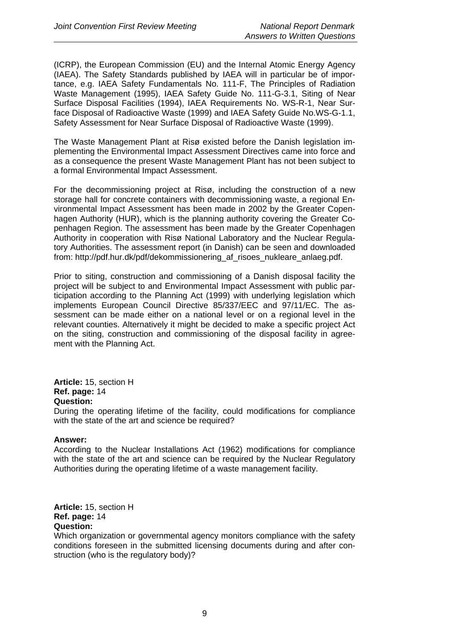(ICRP), the European Commission (EU) and the Internal Atomic Energy Agency (IAEA). The Safety Standards published by IAEA will in particular be of importance, e.g. IAEA Safety Fundamentals No. 111-F, The Principles of Radiation Waste Management (1995), IAEA Safety Guide No. 111-G-3.1, Siting of Near Surface Disposal Facilities (1994), IAEA Requirements No. WS-R-1, Near Surface Disposal of Radioactive Waste (1999) and IAEA Safety Guide No.WS-G-1.1, Safety Assessment for Near Surface Disposal of Radioactive Waste (1999).

The Waste Management Plant at Risø existed before the Danish legislation implementing the Environmental Impact Assessment Directives came into force and as a consequence the present Waste Management Plant has not been subject to a formal Environmental Impact Assessment.

For the decommissioning project at Risø, including the construction of a new storage hall for concrete containers with decommissioning waste, a regional Environmental Impact Assessment has been made in 2002 by the Greater Copenhagen Authority (HUR), which is the planning authority covering the Greater Copenhagen Region. The assessment has been made by the Greater Copenhagen Authority in cooperation with Risø National Laboratory and the Nuclear Regulatory Authorities. The assessment report (in Danish) can be seen and downloaded from: http://pdf.hur.dk/pdf/dekommissionering\_af\_risoes\_nukleare\_anlaeg.pdf.

Prior to siting, construction and commissioning of a Danish disposal facility the project will be subject to and Environmental Impact Assessment with public participation according to the Planning Act (1999) with underlying legislation which implements European Council Directive 85/337/EEC and 97/11/EC. The assessment can be made either on a national level or on a regional level in the relevant counties. Alternatively it might be decided to make a specific project Act on the siting, construction and commissioning of the disposal facility in agreement with the Planning Act.

**Article:** 15, section H **Ref. page:** 14 **Question:**

During the operating lifetime of the facility, could modifications for compliance with the state of the art and science be required?

### **Answer:**

According to the Nuclear Installations Act (1962) modifications for compliance with the state of the art and science can be required by the Nuclear Regulatory Authorities during the operating lifetime of a waste management facility.

**Article:** 15, section H **Ref. page:** 14 **Question:**

Which organization or governmental agency monitors compliance with the safety conditions foreseen in the submitted licensing documents during and after construction (who is the regulatory body)?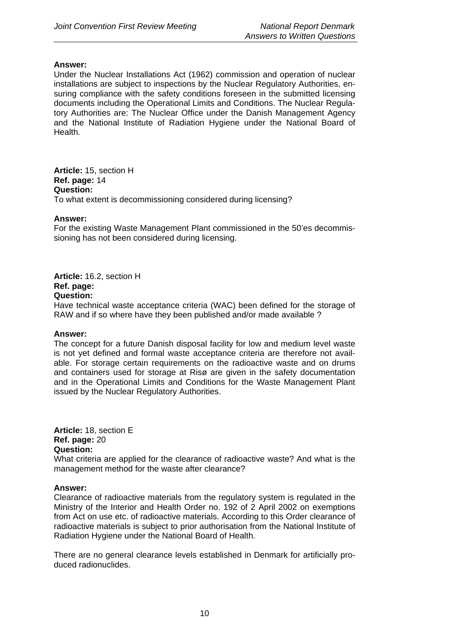Under the Nuclear Installations Act (1962) commission and operation of nuclear installations are subject to inspections by the Nuclear Regulatory Authorities, ensuring compliance with the safety conditions foreseen in the submitted licensing documents including the Operational Limits and Conditions. The Nuclear Regulatory Authorities are: The Nuclear Office under the Danish Management Agency and the National Institute of Radiation Hygiene under the National Board of Health.

**Article:** 15, section H **Ref. page:** 14 **Question:**  To what extent is decommissioning considered during licensing?

### **Answer:**

For the existing Waste Management Plant commissioned in the 50'es decommissioning has not been considered during licensing.

**Article:** 16.2, section H **Ref. page: Question:**

Have technical waste acceptance criteria (WAC) been defined for the storage of RAW and if so where have they been published and/or made available ?

### **Answer:**

The concept for a future Danish disposal facility for low and medium level waste is not yet defined and formal waste acceptance criteria are therefore not available. For storage certain requirements on the radioactive waste and on drums and containers used for storage at Risø are given in the safety documentation and in the Operational Limits and Conditions for the Waste Management Plant issued by the Nuclear Regulatory Authorities.

**Article:** 18, section E **Ref. page:** 20 **Question:**

What criteria are applied for the clearance of radioactive waste? And what is the management method for the waste after clearance?

### **Answer:**

Clearance of radioactive materials from the regulatory system is regulated in the Ministry of the Interior and Health Order no. 192 of 2 April 2002 on exemptions from Act on use etc. of radioactive materials. According to this Order clearance of radioactive materials is subject to prior authorisation from the National Institute of Radiation Hygiene under the National Board of Health.

There are no general clearance levels established in Denmark for artificially produced radionuclides.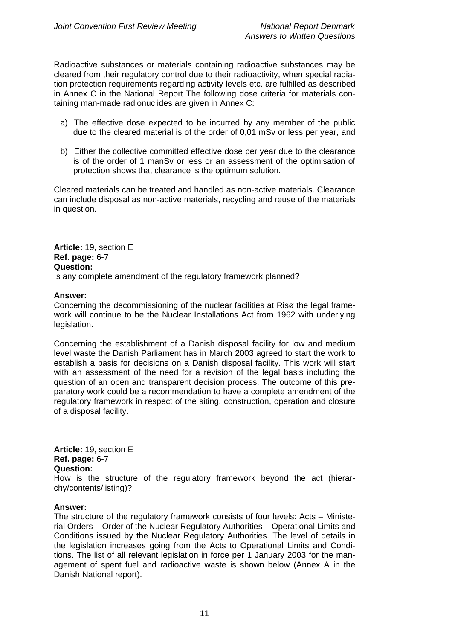Radioactive substances or materials containing radioactive substances may be cleared from their regulatory control due to their radioactivity, when special radiation protection requirements regarding activity levels etc. are fulfilled as described in Annex C in the National Report The following dose criteria for materials containing man-made radionuclides are given in Annex C:

- a) The effective dose expected to be incurred by any member of the public due to the cleared material is of the order of 0,01 mSv or less per year, and
- b) Either the collective committed effective dose per year due to the clearance is of the order of 1 manSv or less or an assessment of the optimisation of protection shows that clearance is the optimum solution.

Cleared materials can be treated and handled as non-active materials. Clearance can include disposal as non-active materials, recycling and reuse of the materials in question.

**Article:** 19, section E **Ref. page:** 6-7 **Question:**  Is any complete amendment of the regulatory framework planned?

### **Answer:**

Concerning the decommissioning of the nuclear facilities at Risø the legal framework will continue to be the Nuclear Installations Act from 1962 with underlying legislation.

Concerning the establishment of a Danish disposal facility for low and medium level waste the Danish Parliament has in March 2003 agreed to start the work to establish a basis for decisions on a Danish disposal facility. This work will start with an assessment of the need for a revision of the legal basis including the question of an open and transparent decision process. The outcome of this preparatory work could be a recommendation to have a complete amendment of the regulatory framework in respect of the siting, construction, operation and closure of a disposal facility.

**Article:** 19, section E **Ref. page:** 6-7 **Question:**  How is the structure of the regulatory framework beyond the act (hierarchy/contents/listing)?

### **Answer:**

The structure of the regulatory framework consists of four levels: Acts – Ministerial Orders – Order of the Nuclear Regulatory Authorities – Operational Limits and Conditions issued by the Nuclear Regulatory Authorities. The level of details in the legislation increases going from the Acts to Operational Limits and Conditions. The list of all relevant legislation in force per 1 January 2003 for the management of spent fuel and radioactive waste is shown below (Annex A in the Danish National report).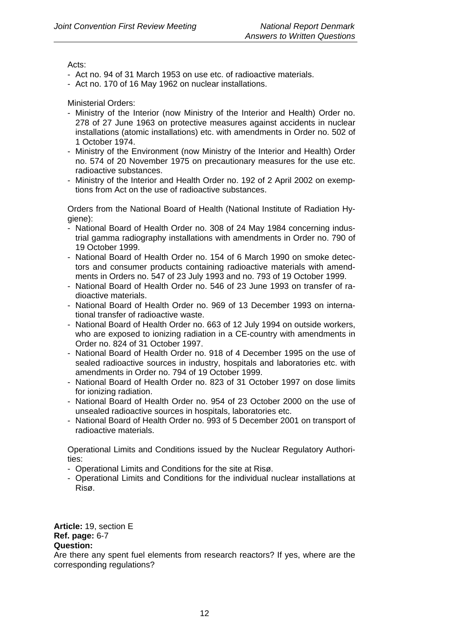### Acts:

- Act no. 94 of 31 March 1953 on use etc. of radioactive materials.
- Act no. 170 of 16 May 1962 on nuclear installations.

### Ministerial Orders:

- Ministry of the Interior (now Ministry of the Interior and Health) Order no. 278 of 27 June 1963 on protective measures against accidents in nuclear installations (atomic installations) etc. with amendments in Order no. 502 of 1 October 1974.
- Ministry of the Environment (now Ministry of the Interior and Health) Order no. 574 of 20 November 1975 on precautionary measures for the use etc. radioactive substances.
- Ministry of the Interior and Health Order no. 192 of 2 April 2002 on exemptions from Act on the use of radioactive substances.

 Orders from the National Board of Health (National Institute of Radiation Hygiene):

- National Board of Health Order no. 308 of 24 May 1984 concerning industrial gamma radiography installations with amendments in Order no. 790 of 19 October 1999.
- National Board of Health Order no. 154 of 6 March 1990 on smoke detectors and consumer products containing radioactive materials with amendments in Orders no. 547 of 23 July 1993 and no. 793 of 19 October 1999.
- National Board of Health Order no. 546 of 23 June 1993 on transfer of radioactive materials.
- National Board of Health Order no. 969 of 13 December 1993 on international transfer of radioactive waste.
- National Board of Health Order no. 663 of 12 July 1994 on outside workers, who are exposed to ionizing radiation in a CE-country with amendments in Order no. 824 of 31 October 1997.
- National Board of Health Order no. 918 of 4 December 1995 on the use of sealed radioactive sources in industry, hospitals and laboratories etc. with amendments in Order no. 794 of 19 October 1999.
- National Board of Health Order no. 823 of 31 October 1997 on dose limits for ionizing radiation.
- National Board of Health Order no. 954 of 23 October 2000 on the use of unsealed radioactive sources in hospitals, laboratories etc.
- National Board of Health Order no. 993 of 5 December 2001 on transport of radioactive materials.

 Operational Limits and Conditions issued by the Nuclear Regulatory Authorities:

- Operational Limits and Conditions for the site at Risø.
- Operational Limits and Conditions for the individual nuclear installations at Risø.

**Article:** 19, section E **Ref. page:** 6-7 **Question:** 

Are there any spent fuel elements from research reactors? If yes, where are the corresponding regulations?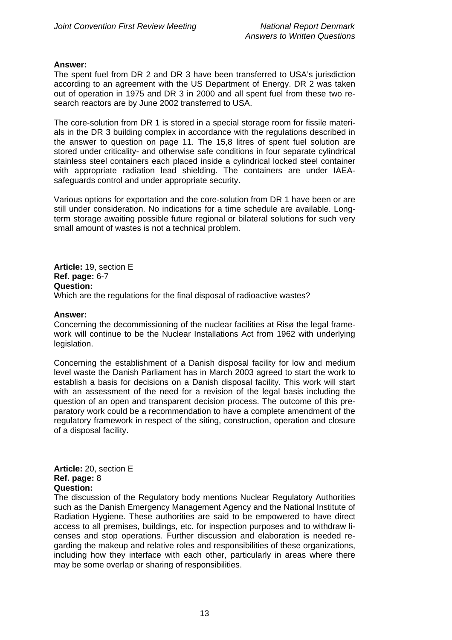The spent fuel from DR 2 and DR 3 have been transferred to USA's jurisdiction according to an agreement with the US Department of Energy. DR 2 was taken out of operation in 1975 and DR 3 in 2000 and all spent fuel from these two research reactors are by June 2002 transferred to USA.

The core-solution from DR 1 is stored in a special storage room for fissile materials in the DR 3 building complex in accordance with the regulations described in the answer to question on page 11. The 15,8 litres of spent fuel solution are stored under criticality- and otherwise safe conditions in four separate cylindrical stainless steel containers each placed inside a cylindrical locked steel container with appropriate radiation lead shielding. The containers are under IAEAsafeguards control and under appropriate security.

Various options for exportation and the core-solution from DR 1 have been or are still under consideration. No indications for a time schedule are available. Longterm storage awaiting possible future regional or bilateral solutions for such very small amount of wastes is not a technical problem.

**Article:** 19, section E **Ref. page:** 6-7 **Question:**  Which are the regulations for the final disposal of radioactive wastes?

### **Answer:**

Concerning the decommissioning of the nuclear facilities at Risø the legal framework will continue to be the Nuclear Installations Act from 1962 with underlying legislation.

Concerning the establishment of a Danish disposal facility for low and medium level waste the Danish Parliament has in March 2003 agreed to start the work to establish a basis for decisions on a Danish disposal facility. This work will start with an assessment of the need for a revision of the legal basis including the question of an open and transparent decision process. The outcome of this preparatory work could be a recommendation to have a complete amendment of the regulatory framework in respect of the siting, construction, operation and closure of a disposal facility.

### **Article:** 20, section E **Ref. page:** 8 **Question:**

The discussion of the Regulatory body mentions Nuclear Regulatory Authorities such as the Danish Emergency Management Agency and the National Institute of Radiation Hygiene. These authorities are said to be empowered to have direct access to all premises, buildings, etc. for inspection purposes and to withdraw licenses and stop operations. Further discussion and elaboration is needed regarding the makeup and relative roles and responsibilities of these organizations, including how they interface with each other, particularly in areas where there may be some overlap or sharing of responsibilities.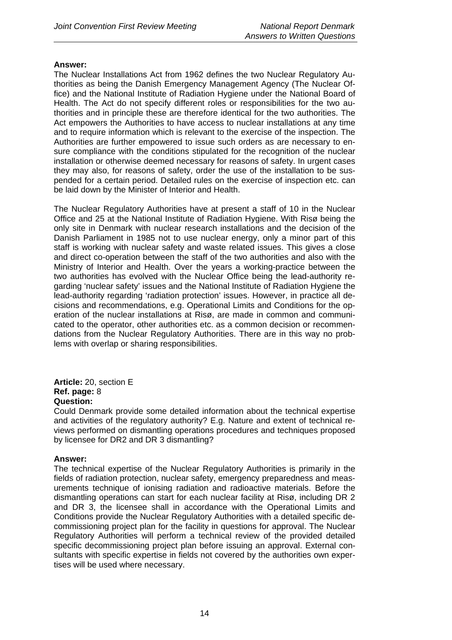The Nuclear Installations Act from 1962 defines the two Nuclear Regulatory Authorities as being the Danish Emergency Management Agency (The Nuclear Office) and the National Institute of Radiation Hygiene under the National Board of Health. The Act do not specify different roles or responsibilities for the two authorities and in principle these are therefore identical for the two authorities. The Act empowers the Authorities to have access to nuclear installations at any time and to require information which is relevant to the exercise of the inspection. The Authorities are further empowered to issue such orders as are necessary to ensure compliance with the conditions stipulated for the recognition of the nuclear installation or otherwise deemed necessary for reasons of safety. In urgent cases they may also, for reasons of safety, order the use of the installation to be suspended for a certain period. Detailed rules on the exercise of inspection etc. can be laid down by the Minister of Interior and Health.

The Nuclear Regulatory Authorities have at present a staff of 10 in the Nuclear Office and 25 at the National Institute of Radiation Hygiene. With Risø being the only site in Denmark with nuclear research installations and the decision of the Danish Parliament in 1985 not to use nuclear energy, only a minor part of this staff is working with nuclear safety and waste related issues. This gives a close and direct co-operation between the staff of the two authorities and also with the Ministry of Interior and Health. Over the years a working-practice between the two authorities has evolved with the Nuclear Office being the lead-authority regarding 'nuclear safety' issues and the National Institute of Radiation Hygiene the lead-authority regarding 'radiation protection' issues. However, in practice all decisions and recommendations, e.g. Operational Limits and Conditions for the operation of the nuclear installations at Risø, are made in common and communicated to the operator, other authorities etc. as a common decision or recommendations from the Nuclear Regulatory Authorities. There are in this way no problems with overlap or sharing responsibilities.

**Article:** 20, section E **Ref. page:** 8 **Question:** 

Could Denmark provide some detailed information about the technical expertise and activities of the regulatory authority? E.g. Nature and extent of technical reviews performed on dismantling operations procedures and techniques proposed by licensee for DR2 and DR 3 dismantling?

### **Answer:**

The technical expertise of the Nuclear Regulatory Authorities is primarily in the fields of radiation protection, nuclear safety, emergency preparedness and measurements technique of ionising radiation and radioactive materials. Before the dismantling operations can start for each nuclear facility at Risø, including DR 2 and DR 3, the licensee shall in accordance with the Operational Limits and Conditions provide the Nuclear Regulatory Authorities with a detailed specific decommissioning project plan for the facility in questions for approval. The Nuclear Regulatory Authorities will perform a technical review of the provided detailed specific decommissioning project plan before issuing an approval. External consultants with specific expertise in fields not covered by the authorities own expertises will be used where necessary.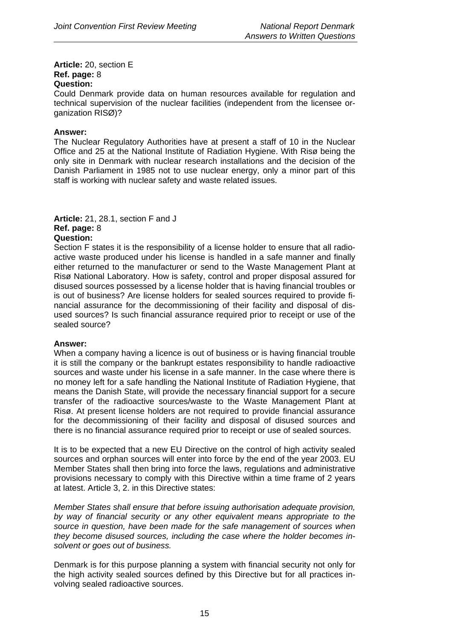**Article:** 20, section E **Ref. page:** 8 **Question:** 

Could Denmark provide data on human resources available for regulation and technical supervision of the nuclear facilities (independent from the licensee organization RISØ)?

### **Answer:**

The Nuclear Regulatory Authorities have at present a staff of 10 in the Nuclear Office and 25 at the National Institute of Radiation Hygiene. With Risø being the only site in Denmark with nuclear research installations and the decision of the Danish Parliament in 1985 not to use nuclear energy, only a minor part of this staff is working with nuclear safety and waste related issues.

### **Article:** 21, 28.1, section F and J **Ref. page:** 8

### **Question:**

Section F states it is the responsibility of a license holder to ensure that all radioactive waste produced under his license is handled in a safe manner and finally either returned to the manufacturer or send to the Waste Management Plant at Risø National Laboratory. How is safety, control and proper disposal assured for disused sources possessed by a license holder that is having financial troubles or is out of business? Are license holders for sealed sources required to provide financial assurance for the decommissioning of their facility and disposal of disused sources? Is such financial assurance required prior to receipt or use of the sealed source?

### **Answer:**

When a company having a licence is out of business or is having financial trouble it is still the company or the bankrupt estates responsibility to handle radioactive sources and waste under his license in a safe manner. In the case where there is no money left for a safe handling the National Institute of Radiation Hygiene, that means the Danish State, will provide the necessary financial support for a secure transfer of the radioactive sources/waste to the Waste Management Plant at Risø. At present license holders are not required to provide financial assurance for the decommissioning of their facility and disposal of disused sources and there is no financial assurance required prior to receipt or use of sealed sources.

It is to be expected that a new EU Directive on the control of high activity sealed sources and orphan sources will enter into force by the end of the year 2003. EU Member States shall then bring into force the laws, regulations and administrative provisions necessary to comply with this Directive within a time frame of 2 years at latest. Article 3, 2. in this Directive states:

*Member States shall ensure that before issuing authorisation adequate provision, by way of financial security or any other equivalent means appropriate to the source in question, have been made for the safe management of sources when they become disused sources, including the case where the holder becomes insolvent or goes out of business.* 

Denmark is for this purpose planning a system with financial security not only for the high activity sealed sources defined by this Directive but for all practices involving sealed radioactive sources.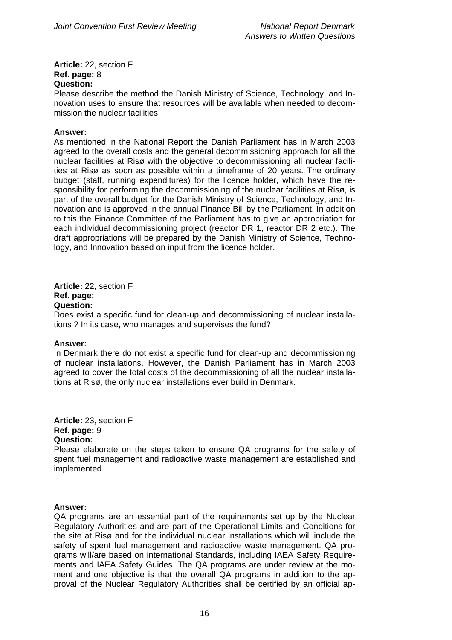**Article:** 22, section F **Ref. page:** 8 **Question:** 

Please describe the method the Danish Ministry of Science, Technology, and Innovation uses to ensure that resources will be available when needed to decommission the nuclear facilities.

### **Answer:**

As mentioned in the National Report the Danish Parliament has in March 2003 agreed to the overall costs and the general decommissioning approach for all the nuclear facilities at Risø with the objective to decommissioning all nuclear facilities at Risø as soon as possible within a timeframe of 20 years. The ordinary budget (staff, running expenditures) for the licence holder, which have the responsibility for performing the decommissioning of the nuclear facilities at Risø, is part of the overall budget for the Danish Ministry of Science, Technology, and Innovation and is approved in the annual Finance Bill by the Parliament. In addition to this the Finance Committee of the Parliament has to give an appropriation for each individual decommissioning project (reactor DR 1, reactor DR 2 etc.). The draft appropriations will be prepared by the Danish Ministry of Science, Technology, and Innovation based on input from the licence holder.

**Article:** 22, section F **Ref. page: Question:** 

Does exist a specific fund for clean-up and decommissioning of nuclear installations ? In its case, who manages and supervises the fund?

### **Answer:**

In Denmark there do not exist a specific fund for clean-up and decommissioning of nuclear installations. However, the Danish Parliament has in March 2003 agreed to cover the total costs of the decommissioning of all the nuclear installations at Risø, the only nuclear installations ever build in Denmark.

**Article:** 23, section F **Ref. page:** 9 **Question:**

Please elaborate on the steps taken to ensure QA programs for the safety of spent fuel management and radioactive waste management are established and implemented.

### **Answer:**

QA programs are an essential part of the requirements set up by the Nuclear Regulatory Authorities and are part of the Operational Limits and Conditions for the site at Risø and for the individual nuclear installations which will include the safety of spent fuel management and radioactive waste management. QA programs will/are based on international Standards, including IAEA Safety Requirements and IAEA Safety Guides. The QA programs are under review at the moment and one objective is that the overall QA programs in addition to the approval of the Nuclear Regulatory Authorities shall be certified by an official ap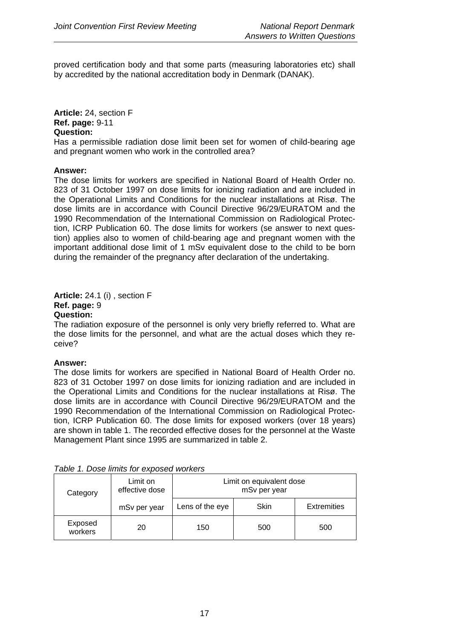proved certification body and that some parts (measuring laboratories etc) shall by accredited by the national accreditation body in Denmark (DANAK).

**Article:** 24, section F **Ref. page:** 9-11 **Question:**

Has a permissible radiation dose limit been set for women of child-bearing age and pregnant women who work in the controlled area?

### **Answer:**

The dose limits for workers are specified in National Board of Health Order no. 823 of 31 October 1997 on dose limits for ionizing radiation and are included in the Operational Limits and Conditions for the nuclear installations at Risø. The dose limits are in accordance with Council Directive 96/29/EURATOM and the 1990 Recommendation of the International Commission on Radiological Protection, ICRP Publication 60. The dose limits for workers (se answer to next question) applies also to women of child-bearing age and pregnant women with the important additional dose limit of 1 mSv equivalent dose to the child to be born during the remainder of the pregnancy after declaration of the undertaking.

### **Article:** 24.1 (i) , section F **Ref. page:** 9 **Question:**

The radiation exposure of the personnel is only very briefly referred to. What are the dose limits for the personnel, and what are the actual doses which they receive?

### **Answer:**

The dose limits for workers are specified in National Board of Health Order no. 823 of 31 October 1997 on dose limits for ionizing radiation and are included in the Operational Limits and Conditions for the nuclear installations at Risø. The dose limits are in accordance with Council Directive 96/29/EURATOM and the 1990 Recommendation of the International Commission on Radiological Protection, ICRP Publication 60. The dose limits for exposed workers (over 18 years) are shown in table 1. The recorded effective doses for the personnel at the Waste Management Plant since 1995 are summarized in table 2.

| Category           | Limit on<br>effective dose | Limit on equivalent dose<br>mSv per year |      |                    |  |
|--------------------|----------------------------|------------------------------------------|------|--------------------|--|
|                    | mSv per year               | Lens of the eye                          | Skin | <b>Extremities</b> |  |
| Exposed<br>workers | 20                         | 150                                      | 500  | 500                |  |

*Table 1. Dose limits for exposed workers*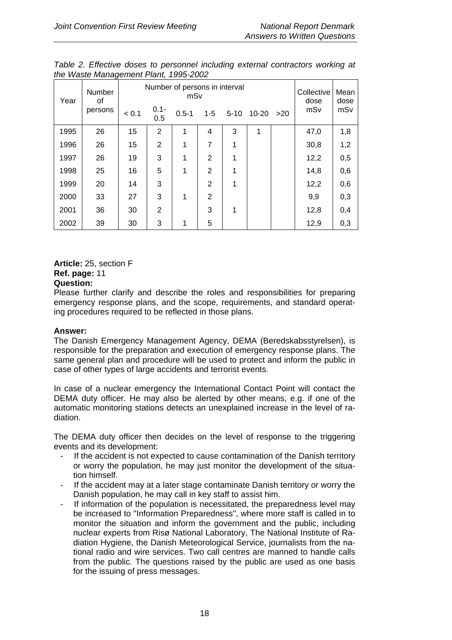| <b>Number</b><br>Year<br>οf<br>persons | Number of persons in interval<br>mSv |       |                |           |                | Collective<br>dose | Mean<br>dose |     |      |     |
|----------------------------------------|--------------------------------------|-------|----------------|-----------|----------------|--------------------|--------------|-----|------|-----|
|                                        |                                      | < 0.1 | $0.1 -$<br>0.5 | $0.5 - 1$ | $1 - 5$        | $5 - 10$           | $10 - 20$    | >20 | mSv  | mSv |
| 1995                                   | 26                                   | 15    | $\overline{2}$ | 1         | 4              | 3                  | 1            |     | 47,0 | 1,8 |
| 1996                                   | 26                                   | 15    | $\overline{2}$ | 1         | 7              | 1                  |              |     | 30,8 | 1,2 |
| 1997                                   | 26                                   | 19    | 3              | 1         | $\overline{2}$ | 1                  |              |     | 12,2 | 0,5 |
| 1998                                   | 25                                   | 16    | 5              | 1         | $\overline{2}$ | 1                  |              |     | 14,8 | 0,6 |
| 1999                                   | 20                                   | 14    | 3              |           | $\overline{2}$ | 1                  |              |     | 12,2 | 0,6 |
| 2000                                   | 33                                   | 27    | 3              | 1         | $\overline{2}$ |                    |              |     | 9,9  | 0,3 |
| 2001                                   | 36                                   | 30    | $\overline{2}$ |           | 3              | 1                  |              |     | 12,8 | 0,4 |
| 2002                                   | 39                                   | 30    | 3              | 1         | 5              |                    |              |     | 12,9 | 0,3 |

*Table 2. Effective doses to personnel including external contractors working at the Waste Management Plant, 1995-2002* 

### **Article:** 25, section F **Ref. page:** 11 **Question:**

Please further clarify and describe the roles and responsibilities for preparing emergency response plans, and the scope, requirements, and standard operating procedures required to be reflected in those plans.

### **Answer:**

The Danish Emergency Management Agency, DEMA (Beredskabsstyrelsen), is responsible for the preparation and execution of emergency response plans. The same general plan and procedure will be used to protect and inform the public in case of other types of large accidents and terrorist events.

In case of a nuclear emergency the International Contact Point will contact the DEMA duty officer. He may also be alerted by other means, e.g. if one of the automatic monitoring stations detects an unexplained increase in the level of radiation.

The DEMA duty officer then decides on the level of response to the triggering events and its development:

- If the accident is not expected to cause contamination of the Danish territory or worry the population, he may just monitor the development of the situation himself.
- If the accident may at a later stage contaminate Danish territory or worry the Danish population, he may call in key staff to assist him.
- If information of the population is necessitated, the preparedness level may be increased to "Information Preparedness", where more staff is called in to monitor the situation and inform the government and the public, including nuclear experts from Risø National Laboratory, The National Institute of Radiation Hygiene, the Danish Meteorological Service, journalists from the national radio and wire services. Two call centres are manned to handle calls from the public. The questions raised by the public are used as one basis for the issuing of press messages.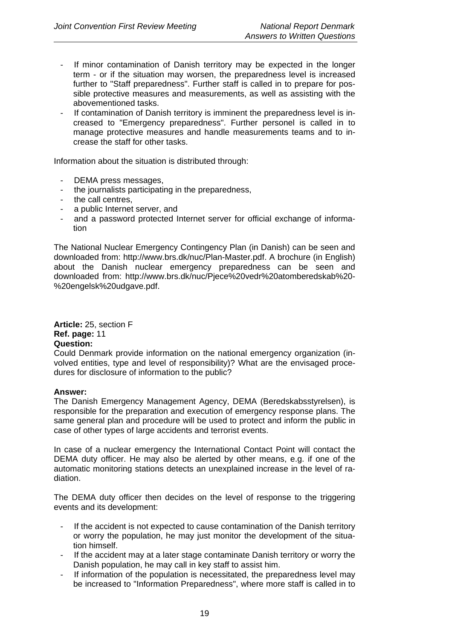- If minor contamination of Danish territory may be expected in the longer term - or if the situation may worsen, the preparedness level is increased further to "Staff preparedness". Further staff is called in to prepare for possible protective measures and measurements, as well as assisting with the abovementioned tasks.
- If contamination of Danish territory is imminent the preparedness level is increased to "Emergency preparedness". Further personel is called in to manage protective measures and handle measurements teams and to increase the staff for other tasks.

Information about the situation is distributed through:

- DEMA press messages,
- the journalists participating in the preparedness,
- the call centres,
- a public Internet server, and
- and a password protected Internet server for official exchange of information

The National Nuclear Emergency Contingency Plan (in Danish) can be seen and downloaded from: http://www.brs.dk/nuc/Plan-Master.pdf. A brochure (in English) about the Danish nuclear emergency preparedness can be seen and downloaded from: http://www.brs.dk/nuc/Pjece%20vedr%20atomberedskab%20- %20engelsk%20udgave.pdf.

**Article:** 25, section F **Ref. page:** 11 **Question:**

Could Denmark provide information on the national emergency organization (involved entities, type and level of responsibility)? What are the envisaged procedures for disclosure of information to the public?

### **Answer:**

The Danish Emergency Management Agency, DEMA (Beredskabsstyrelsen), is responsible for the preparation and execution of emergency response plans. The same general plan and procedure will be used to protect and inform the public in case of other types of large accidents and terrorist events.

In case of a nuclear emergency the International Contact Point will contact the DEMA duty officer. He may also be alerted by other means, e.g. if one of the automatic monitoring stations detects an unexplained increase in the level of radiation.

The DEMA duty officer then decides on the level of response to the triggering events and its development:

- If the accident is not expected to cause contamination of the Danish territory or worry the population, he may just monitor the development of the situation himself.
- If the accident may at a later stage contaminate Danish territory or worry the Danish population, he may call in key staff to assist him.
- If information of the population is necessitated, the preparedness level may be increased to "Information Preparedness", where more staff is called in to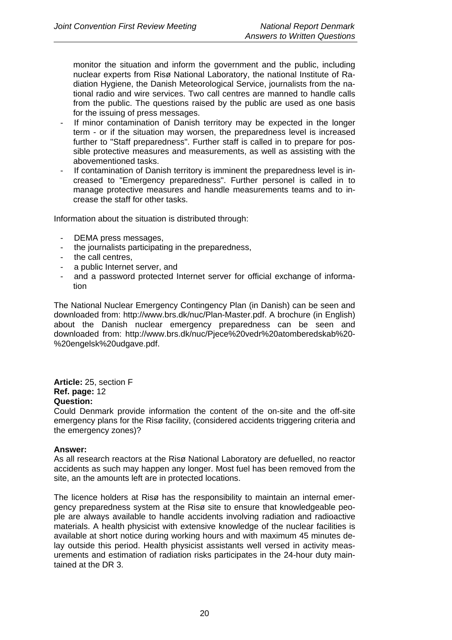monitor the situation and inform the government and the public, including nuclear experts from Risø National Laboratory, the national Institute of Radiation Hygiene, the Danish Meteorological Service, journalists from the national radio and wire services. Two call centres are manned to handle calls from the public. The questions raised by the public are used as one basis for the issuing of press messages.

- If minor contamination of Danish territory may be expected in the longer term - or if the situation may worsen, the preparedness level is increased further to "Staff preparedness". Further staff is called in to prepare for possible protective measures and measurements, as well as assisting with the abovementioned tasks.
- If contamination of Danish territory is imminent the preparedness level is increased to "Emergency preparedness". Further personel is called in to manage protective measures and handle measurements teams and to increase the staff for other tasks.

Information about the situation is distributed through:

- DEMA press messages,
- the journalists participating in the preparedness,
- the call centres,
- a public Internet server, and
- and a password protected Internet server for official exchange of information

The National Nuclear Emergency Contingency Plan (in Danish) can be seen and downloaded from: http://www.brs.dk/nuc/Plan-Master.pdf. A brochure (in English) about the Danish nuclear emergency preparedness can be seen and downloaded from: http://www.brs.dk/nuc/Pjece%20vedr%20atomberedskab%20- %20engelsk%20udgave.pdf.

**Article:** 25, section F **Ref. page:** 12 **Question:** 

Could Denmark provide information the content of the on-site and the off-site emergency plans for the Risø facility, (considered accidents triggering criteria and the emergency zones)?

### **Answer:**

As all research reactors at the Risø National Laboratory are defuelled, no reactor accidents as such may happen any longer. Most fuel has been removed from the site, an the amounts left are in protected locations.

The licence holders at Risø has the responsibility to maintain an internal emergency preparedness system at the Risø site to ensure that knowledgeable people are always available to handle accidents involving radiation and radioactive materials. A health physicist with extensive knowledge of the nuclear facilities is available at short notice during working hours and with maximum 45 minutes delay outside this period. Health physicist assistants well versed in activity measurements and estimation of radiation risks participates in the 24-hour duty maintained at the DR 3.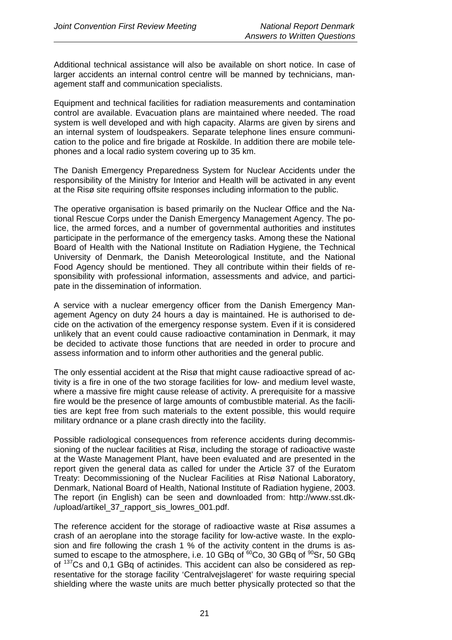Additional technical assistance will also be available on short notice. In case of larger accidents an internal control centre will be manned by technicians, management staff and communication specialists.

Equipment and technical facilities for radiation measurements and contamination control are available. Evacuation plans are maintained where needed. The road system is well developed and with high capacity. Alarms are given by sirens and an internal system of loudspeakers. Separate telephone lines ensure communication to the police and fire brigade at Roskilde. In addition there are mobile telephones and a local radio system covering up to 35 km.

The Danish Emergency Preparedness System for Nuclear Accidents under the responsibility of the Ministry for Interior and Health will be activated in any event at the Risø site requiring offsite responses including information to the public.

The operative organisation is based primarily on the Nuclear Office and the National Rescue Corps under the Danish Emergency Management Agency. The police, the armed forces, and a number of governmental authorities and institutes participate in the performance of the emergency tasks. Among these the National Board of Health with the National Institute on Radiation Hygiene, the Technical University of Denmark, the Danish Meteorological Institute, and the National Food Agency should be mentioned. They all contribute within their fields of responsibility with professional information, assessments and advice, and participate in the dissemination of information.

A service with a nuclear emergency officer from the Danish Emergency Management Agency on duty 24 hours a day is maintained. He is authorised to decide on the activation of the emergency response system. Even if it is considered unlikely that an event could cause radioactive contamination in Denmark, it may be decided to activate those functions that are needed in order to procure and assess information and to inform other authorities and the general public.

The only essential accident at the Risø that might cause radioactive spread of activity is a fire in one of the two storage facilities for low- and medium level waste, where a massive fire might cause release of activity. A prerequisite for a massive fire would be the presence of large amounts of combustible material. As the facilities are kept free from such materials to the extent possible, this would require military ordnance or a plane crash directly into the facility.

Possible radiological consequences from reference accidents during decommissioning of the nuclear facilities at Risø, including the storage of radioactive waste at the Waste Management Plant, have been evaluated and are presented in the report given the general data as called for under the Article 37 of the Euratom Treaty: Decommissioning of the Nuclear Facilities at Risø National Laboratory, Denmark, National Board of Health, National Institute of Radiation hygiene, 2003. The report (in English) can be seen and downloaded from: http://www.sst.dk- /upload/artikel\_37\_rapport\_sis\_lowres\_001.pdf.

The reference accident for the storage of radioactive waste at Risø assumes a crash of an aeroplane into the storage facility for low-active waste. In the explosion and fire following the crash 1  $%$  of the activity content in the drums is assumed to escape to the atmosphere, i.e. 10 GBq of <sup>60</sup>Co, 30 GBq of <sup>90</sup>Sr, 50 GBq of 137Cs and 0,1 GBq of actinides. This accident can also be considered as representative for the storage facility 'Centralvejslageret' for waste requiring special shielding where the waste units are much better physically protected so that the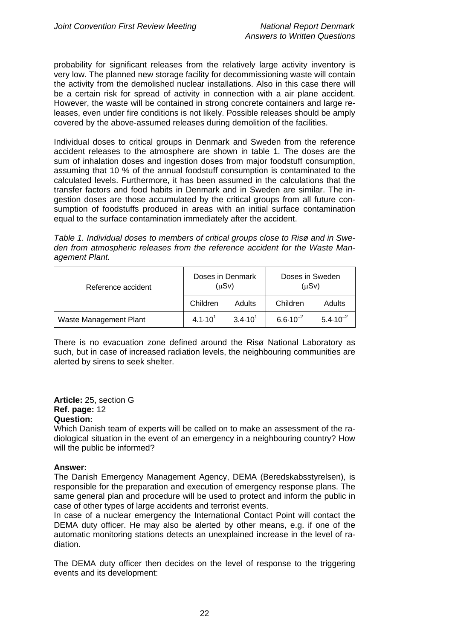probability for significant releases from the relatively large activity inventory is very low. The planned new storage facility for decommissioning waste will contain the activity from the demolished nuclear installations. Also in this case there will be a certain risk for spread of activity in connection with a air plane accident. However, the waste will be contained in strong concrete containers and large releases, even under fire conditions is not likely. Possible releases should be amply covered by the above-assumed releases during demolition of the facilities.

Individual doses to critical groups in Denmark and Sweden from the reference accident releases to the atmosphere are shown in table 1. The doses are the sum of inhalation doses and ingestion doses from major foodstuff consumption, assuming that 10 % of the annual foodstuff consumption is contaminated to the calculated levels. Furthermore, it has been assumed in the calculations that the transfer factors and food habits in Denmark and in Sweden are similar. The ingestion doses are those accumulated by the critical groups from all future consumption of foodstuffs produced in areas with an initial surface contamination equal to the surface contamination immediately after the accident.

*Table 1. Individual doses to members of critical groups close to Risø and in Sweden from atmospheric releases from the reference accident for the Waste Management Plant.*

| Reference accident     |                    | Doses in Denmark<br>(µSv) | Doses in Sweden<br>$(\mu Sv)$ |                     |  |
|------------------------|--------------------|---------------------------|-------------------------------|---------------------|--|
|                        | Children           | Adults                    | Children                      | <b>Adults</b>       |  |
| Waste Management Plant | $4.1 \cdot 10^{1}$ | $3.4 \cdot 10^{1}$        | $6.6 \cdot 10^{-2}$           | $5.4 \cdot 10^{-2}$ |  |

There is no evacuation zone defined around the Risø National Laboratory as such, but in case of increased radiation levels, the neighbouring communities are alerted by sirens to seek shelter.

### **Article:** 25, section G **Ref. page:** 12 **Question:**

Which Danish team of experts will be called on to make an assessment of the radiological situation in the event of an emergency in a neighbouring country? How will the public be informed?

### **Answer:**

The Danish Emergency Management Agency, DEMA (Beredskabsstyrelsen), is responsible for the preparation and execution of emergency response plans. The same general plan and procedure will be used to protect and inform the public in case of other types of large accidents and terrorist events.

In case of a nuclear emergency the International Contact Point will contact the DEMA duty officer. He may also be alerted by other means, e.g. if one of the automatic monitoring stations detects an unexplained increase in the level of radiation.

The DEMA duty officer then decides on the level of response to the triggering events and its development: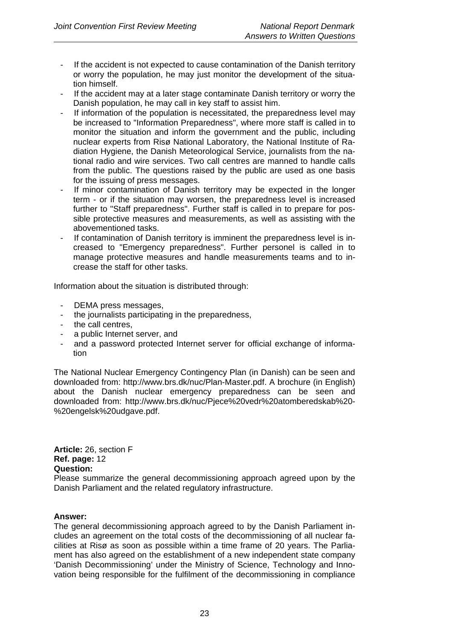- If the accident is not expected to cause contamination of the Danish territory or worry the population, he may just monitor the development of the situation himself.
- If the accident may at a later stage contaminate Danish territory or worry the Danish population, he may call in key staff to assist him.
- If information of the population is necessitated, the preparedness level may be increased to "Information Preparedness", where more staff is called in to monitor the situation and inform the government and the public, including nuclear experts from Risø National Laboratory, the National Institute of Radiation Hygiene, the Danish Meteorological Service, journalists from the national radio and wire services. Two call centres are manned to handle calls from the public. The questions raised by the public are used as one basis for the issuing of press messages.
- If minor contamination of Danish territory may be expected in the longer term - or if the situation may worsen, the preparedness level is increased further to "Staff preparedness". Further staff is called in to prepare for possible protective measures and measurements, as well as assisting with the abovementioned tasks.
- If contamination of Danish territory is imminent the preparedness level is increased to "Emergency preparedness". Further personel is called in to manage protective measures and handle measurements teams and to increase the staff for other tasks.

Information about the situation is distributed through:

- DEMA press messages,
- the journalists participating in the preparedness,
- the call centres.
- a public Internet server, and
- and a password protected Internet server for official exchange of information

The National Nuclear Emergency Contingency Plan (in Danish) can be seen and downloaded from: http://www.brs.dk/nuc/Plan-Master.pdf. A brochure (in English) about the Danish nuclear emergency preparedness can be seen and downloaded from: http://www.brs.dk/nuc/Pjece%20vedr%20atomberedskab%20- %20engelsk%20udgave.pdf.

**Article:** 26, section F **Ref. page:** 12 **Question:**

Please summarize the general decommissioning approach agreed upon by the Danish Parliament and the related regulatory infrastructure.

### **Answer:**

The general decommissioning approach agreed to by the Danish Parliament includes an agreement on the total costs of the decommissioning of all nuclear facilities at Risø as soon as possible within a time frame of 20 years. The Parliament has also agreed on the establishment of a new independent state company 'Danish Decommissioning' under the Ministry of Science, Technology and Innovation being responsible for the fulfilment of the decommissioning in compliance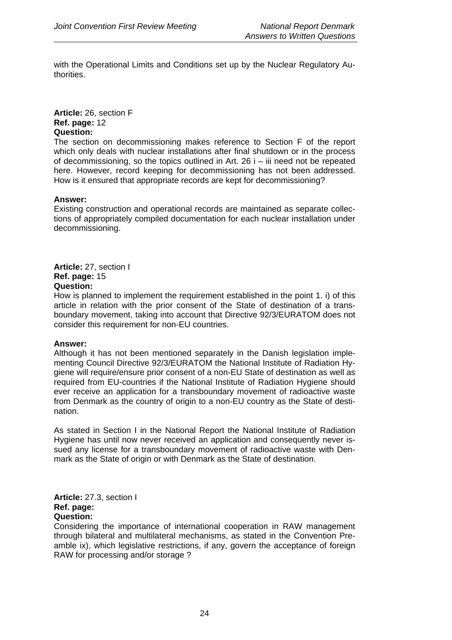with the Operational Limits and Conditions set up by the Nuclear Regulatory Authorities.

**Article:** 26, section F **Ref. page:** 12 **Question:**

The section on decommissioning makes reference to Section F of the report which only deals with nuclear installations after final shutdown or in the process of decommissioning, so the topics outlined in Art. 26 i – iii need not be repeated here. However, record keeping for decommissioning has not been addressed. How is it ensured that appropriate records are kept for decommissioning?

### **Answer:**

Existing construction and operational records are maintained as separate collections of appropriately compiled documentation for each nuclear installation under decommissioning.

**Article:** 27, section I **Ref. page:** 15 **Question:** 

How is planned to implement the requirement established in the point 1. i) of this article in relation with the prior consent of the State of destination of a transboundary movement, taking into account that Directive 92/3/EURATOM does not consider this requirement for non-EU countries.

### **Answer:**

Although it has not been mentioned separately in the Danish legislation implementing Council Directive 92/3/EURATOM the National Institute of Radiation Hygiene will require/ensure prior consent of a non-EU State of destination as well as required from EU-countries if the National Institute of Radiation Hygiene should ever receive an application for a transboundary movement of radioactive waste from Denmark as the country of origin to a non-EU country as the State of destination.

As stated in Section I in the National Report the National Institute of Radiation Hygiene has until now never received an application and consequently never issued any license for a transboundary movement of radioactive waste with Denmark as the State of origin or with Denmark as the State of destination.

**Article:** 27.3, section I **Ref. page: Question:**

Considering the importance of international cooperation in RAW management through bilateral and multilateral mechanisms, as stated in the Convention Preamble ix), which legislative restrictions, if any, govern the acceptance of foreign RAW for processing and/or storage ?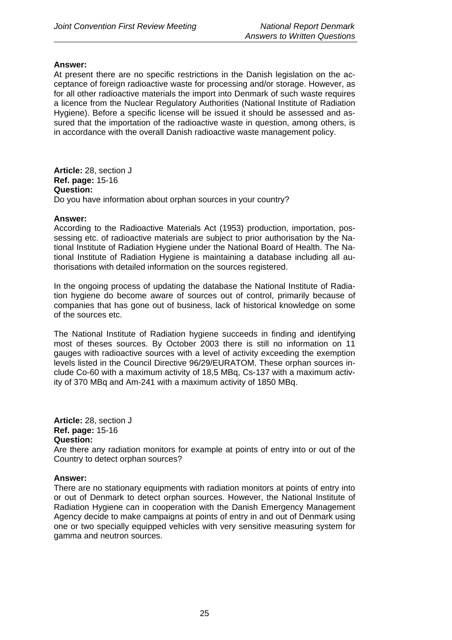At present there are no specific restrictions in the Danish legislation on the acceptance of foreign radioactive waste for processing and/or storage. However, as for all other radioactive materials the import into Denmark of such waste requires a licence from the Nuclear Regulatory Authorities (National Institute of Radiation Hygiene). Before a specific license will be issued it should be assessed and assured that the importation of the radioactive waste in question, among others, is in accordance with the overall Danish radioactive waste management policy.

**Article:** 28, section J **Ref. page:** 15-16 **Question:**  Do you have information about orphan sources in your country?

### **Answer:**

According to the Radioactive Materials Act (1953) production, importation, possessing etc. of radioactive materials are subject to prior authorisation by the National Institute of Radiation Hygiene under the National Board of Health. The National Institute of Radiation Hygiene is maintaining a database including all authorisations with detailed information on the sources registered.

In the ongoing process of updating the database the National Institute of Radiation hygiene do become aware of sources out of control, primarily because of companies that has gone out of business, lack of historical knowledge on some of the sources etc.

The National Institute of Radiation hygiene succeeds in finding and identifying most of theses sources. By October 2003 there is still no information on 11 gauges with radioactive sources with a level of activity exceeding the exemption levels listed in the Council Directive 96/29/EURATOM. These orphan sources include Co-60 with a maximum activity of 18,5 MBq, Cs-137 with a maximum activity of 370 MBq and Am-241 with a maximum activity of 1850 MBq.

**Article:** 28, section J **Ref. page:** 15-16 **Question:** 

Are there any radiation monitors for example at points of entry into or out of the Country to detect orphan sources?

### **Answer:**

There are no stationary equipments with radiation monitors at points of entry into or out of Denmark to detect orphan sources. However, the National Institute of Radiation Hygiene can in cooperation with the Danish Emergency Management Agency decide to make campaigns at points of entry in and out of Denmark using one or two specially equipped vehicles with very sensitive measuring system for gamma and neutron sources.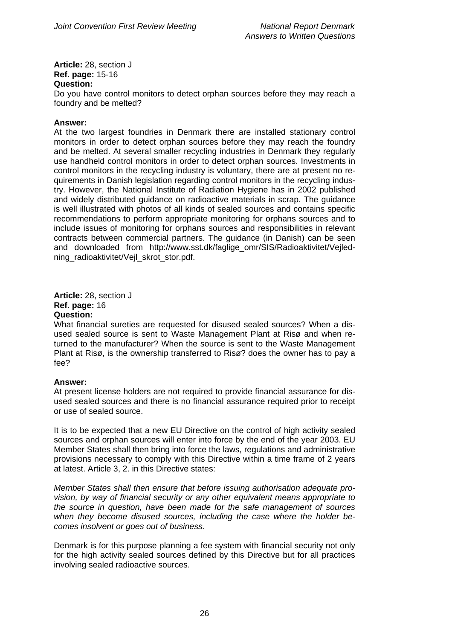**Article:** 28, section J **Ref. page:** 15-16 **Question:** 

Do you have control monitors to detect orphan sources before they may reach a foundry and be melted?

### **Answer:**

At the two largest foundries in Denmark there are installed stationary control monitors in order to detect orphan sources before they may reach the foundry and be melted. At several smaller recycling industries in Denmark they regularly use handheld control monitors in order to detect orphan sources. Investments in control monitors in the recycling industry is voluntary, there are at present no requirements in Danish legislation regarding control monitors in the recycling industry. However, the National Institute of Radiation Hygiene has in 2002 published and widely distributed guidance on radioactive materials in scrap. The guidance is well illustrated with photos of all kinds of sealed sources and contains specific recommendations to perform appropriate monitoring for orphans sources and to include issues of monitoring for orphans sources and responsibilities in relevant contracts between commercial partners. The guidance (in Danish) can be seen and downloaded from http://www.sst.dk/faglige\_omr/SIS/Radioaktivitet/Vejledning\_radioaktivitet/Vejl\_skrot\_stor.pdf.

**Article:** 28, section J **Ref. page:** 16 **Question:**

What financial sureties are requested for disused sealed sources? When a disused sealed source is sent to Waste Management Plant at Risø and when returned to the manufacturer? When the source is sent to the Waste Management Plant at Risø, is the ownership transferred to Risø? does the owner has to pay a fee?

### **Answer:**

At present license holders are not required to provide financial assurance for disused sealed sources and there is no financial assurance required prior to receipt or use of sealed source.

It is to be expected that a new EU Directive on the control of high activity sealed sources and orphan sources will enter into force by the end of the year 2003. EU Member States shall then bring into force the laws, regulations and administrative provisions necessary to comply with this Directive within a time frame of 2 years at latest. Article 3, 2. in this Directive states:

*Member States shall then ensure that before issuing authorisation adequate provision, by way of financial security or any other equivalent means appropriate to the source in question, have been made for the safe management of sources when they become disused sources, including the case where the holder becomes insolvent or goes out of business.* 

Denmark is for this purpose planning a fee system with financial security not only for the high activity sealed sources defined by this Directive but for all practices involving sealed radioactive sources.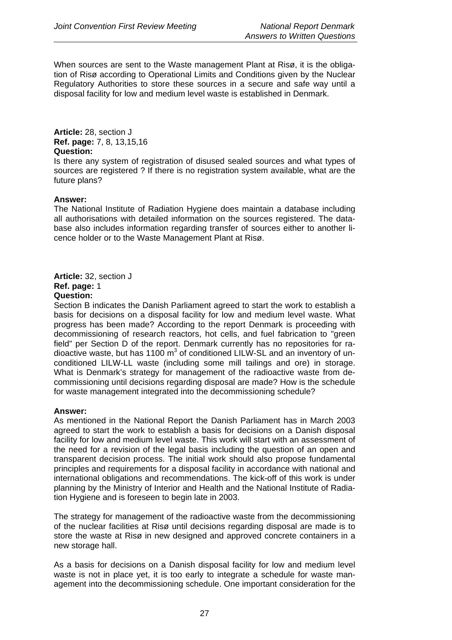When sources are sent to the Waste management Plant at Risø, it is the obligation of Risø according to Operational Limits and Conditions given by the Nuclear Regulatory Authorities to store these sources in a secure and safe way until a disposal facility for low and medium level waste is established in Denmark.

**Article:** 28, section J **Ref. page:** 7, 8, 13,15,16 **Question:**

Is there any system of registration of disused sealed sources and what types of sources are registered ? If there is no registration system available, what are the future plans?

### **Answer:**

The National Institute of Radiation Hygiene does maintain a database including all authorisations with detailed information on the sources registered. The database also includes information regarding transfer of sources either to another licence holder or to the Waste Management Plant at Risø.

**Article:** 32, section J **Ref. page:** 1 **Question:**

Section B indicates the Danish Parliament agreed to start the work to establish a basis for decisions on a disposal facility for low and medium level waste. What progress has been made? According to the report Denmark is proceeding with decommissioning of research reactors, hot cells, and fuel fabrication to "green field" per Section D of the report. Denmark currently has no repositories for radioactive waste, but has 1100  $m^3$  of conditioned LILW-SL and an inventory of unconditioned LILW-LL waste (including some mill tailings and ore) in storage. What is Denmark's strategy for management of the radioactive waste from decommissioning until decisions regarding disposal are made? How is the schedule for waste management integrated into the decommissioning schedule?

### **Answer:**

As mentioned in the National Report the Danish Parliament has in March 2003 agreed to start the work to establish a basis for decisions on a Danish disposal facility for low and medium level waste. This work will start with an assessment of the need for a revision of the legal basis including the question of an open and transparent decision process. The initial work should also propose fundamental principles and requirements for a disposal facility in accordance with national and international obligations and recommendations. The kick-off of this work is under planning by the Ministry of Interior and Health and the National Institute of Radiation Hygiene and is foreseen to begin late in 2003.

The strategy for management of the radioactive waste from the decommissioning of the nuclear facilities at Risø until decisions regarding disposal are made is to store the waste at Risø in new designed and approved concrete containers in a new storage hall.

As a basis for decisions on a Danish disposal facility for low and medium level waste is not in place yet, it is too early to integrate a schedule for waste management into the decommissioning schedule. One important consideration for the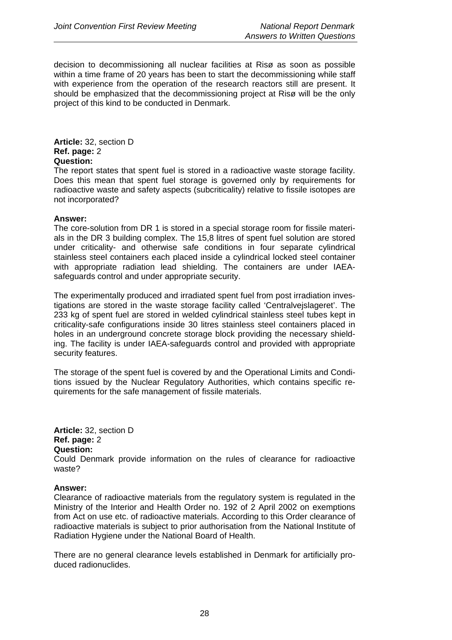decision to decommissioning all nuclear facilities at Risø as soon as possible within a time frame of 20 years has been to start the decommissioning while staff with experience from the operation of the research reactors still are present. It should be emphasized that the decommissioning project at Risø will be the only project of this kind to be conducted in Denmark.

**Article:** 32, section D **Ref. page:** 2 **Question:**

The report states that spent fuel is stored in a radioactive waste storage facility. Does this mean that spent fuel storage is governed only by requirements for radioactive waste and safety aspects (subcriticality) relative to fissile isotopes are not incorporated?

### **Answer:**

The core-solution from DR 1 is stored in a special storage room for fissile materials in the DR 3 building complex. The 15,8 litres of spent fuel solution are stored under criticality- and otherwise safe conditions in four separate cylindrical stainless steel containers each placed inside a cylindrical locked steel container with appropriate radiation lead shielding. The containers are under IAEAsafeguards control and under appropriate security.

The experimentally produced and irradiated spent fuel from post irradiation investigations are stored in the waste storage facility called 'Centralvejslageret'. The 233 kg of spent fuel are stored in welded cylindrical stainless steel tubes kept in criticality-safe configurations inside 30 litres stainless steel containers placed in holes in an underground concrete storage block providing the necessary shielding. The facility is under IAEA-safeguards control and provided with appropriate security features.

The storage of the spent fuel is covered by and the Operational Limits and Conditions issued by the Nuclear Regulatory Authorities, which contains specific requirements for the safe management of fissile materials.

**Article:** 32, section D **Ref. page:** 2 **Question:** Could Denmark provide information on the rules of clearance for radioactive waste?

### **Answer:**

Clearance of radioactive materials from the regulatory system is regulated in the Ministry of the Interior and Health Order no. 192 of 2 April 2002 on exemptions from Act on use etc. of radioactive materials. According to this Order clearance of radioactive materials is subject to prior authorisation from the National Institute of Radiation Hygiene under the National Board of Health.

There are no general clearance levels established in Denmark for artificially produced radionuclides.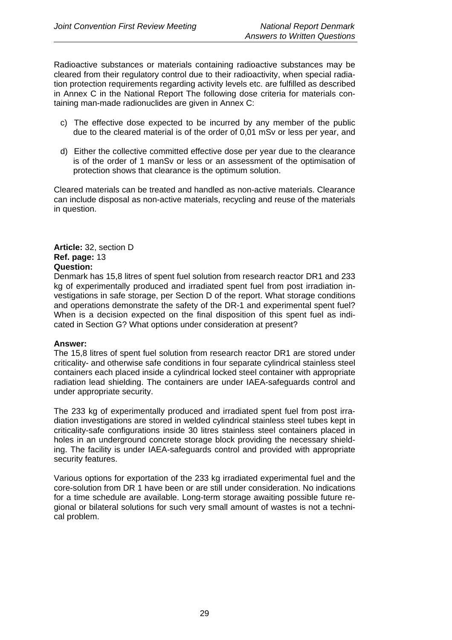Radioactive substances or materials containing radioactive substances may be cleared from their regulatory control due to their radioactivity, when special radiation protection requirements regarding activity levels etc. are fulfilled as described in Annex C in the National Report The following dose criteria for materials containing man-made radionuclides are given in Annex C:

- c) The effective dose expected to be incurred by any member of the public due to the cleared material is of the order of 0,01 mSv or less per year, and
- d) Either the collective committed effective dose per year due to the clearance is of the order of 1 manSv or less or an assessment of the optimisation of protection shows that clearance is the optimum solution.

Cleared materials can be treated and handled as non-active materials. Clearance can include disposal as non-active materials, recycling and reuse of the materials in question.

### **Article:** 32, section D **Ref. page:** 13 **Question:**

Denmark has 15,8 litres of spent fuel solution from research reactor DR1 and 233 kg of experimentally produced and irradiated spent fuel from post irradiation investigations in safe storage, per Section D of the report. What storage conditions and operations demonstrate the safety of the DR-1 and experimental spent fuel? When is a decision expected on the final disposition of this spent fuel as indicated in Section G? What options under consideration at present?

### **Answer:**

The 15,8 litres of spent fuel solution from research reactor DR1 are stored under criticality- and otherwise safe conditions in four separate cylindrical stainless steel containers each placed inside a cylindrical locked steel container with appropriate radiation lead shielding. The containers are under IAEA-safeguards control and under appropriate security.

The 233 kg of experimentally produced and irradiated spent fuel from post irradiation investigations are stored in welded cylindrical stainless steel tubes kept in criticality-safe configurations inside 30 litres stainless steel containers placed in holes in an underground concrete storage block providing the necessary shielding. The facility is under IAEA-safeguards control and provided with appropriate security features.

Various options for exportation of the 233 kg irradiated experimental fuel and the core-solution from DR 1 have been or are still under consideration. No indications for a time schedule are available. Long-term storage awaiting possible future regional or bilateral solutions for such very small amount of wastes is not a technical problem.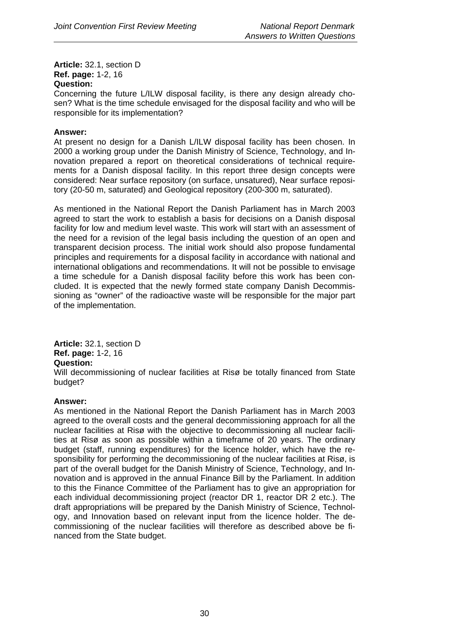**Article:** 32.1, section D **Ref. page:** 1-2, 16 **Question:** 

Concerning the future L/ILW disposal facility, is there any design already chosen? What is the time schedule envisaged for the disposal facility and who will be responsible for its implementation?

### **Answer:**

At present no design for a Danish L/ILW disposal facility has been chosen. In 2000 a working group under the Danish Ministry of Science, Technology, and Innovation prepared a report on theoretical considerations of technical requirements for a Danish disposal facility. In this report three design concepts were considered: Near surface repository (on surface, unsatured), Near surface repository (20-50 m, saturated) and Geological repository (200-300 m, saturated).

As mentioned in the National Report the Danish Parliament has in March 2003 agreed to start the work to establish a basis for decisions on a Danish disposal facility for low and medium level waste. This work will start with an assessment of the need for a revision of the legal basis including the question of an open and transparent decision process. The initial work should also propose fundamental principles and requirements for a disposal facility in accordance with national and international obligations and recommendations. It will not be possible to envisage a time schedule for a Danish disposal facility before this work has been concluded. It is expected that the newly formed state company Danish Decommissioning as "owner" of the radioactive waste will be responsible for the major part of the implementation.

**Article:** 32.1, section D **Ref. page:** 1-2, 16 **Question:**  Will decommissioning of nuclear facilities at Risø be totally financed from State budget?

### **Answer:**

As mentioned in the National Report the Danish Parliament has in March 2003 agreed to the overall costs and the general decommissioning approach for all the nuclear facilities at Risø with the objective to decommissioning all nuclear facilities at Risø as soon as possible within a timeframe of 20 years. The ordinary budget (staff, running expenditures) for the licence holder, which have the responsibility for performing the decommissioning of the nuclear facilities at Risø, is part of the overall budget for the Danish Ministry of Science, Technology, and Innovation and is approved in the annual Finance Bill by the Parliament. In addition to this the Finance Committee of the Parliament has to give an appropriation for each individual decommissioning project (reactor DR 1, reactor DR 2 etc.). The draft appropriations will be prepared by the Danish Ministry of Science, Technology, and Innovation based on relevant input from the licence holder. The decommissioning of the nuclear facilities will therefore as described above be financed from the State budget.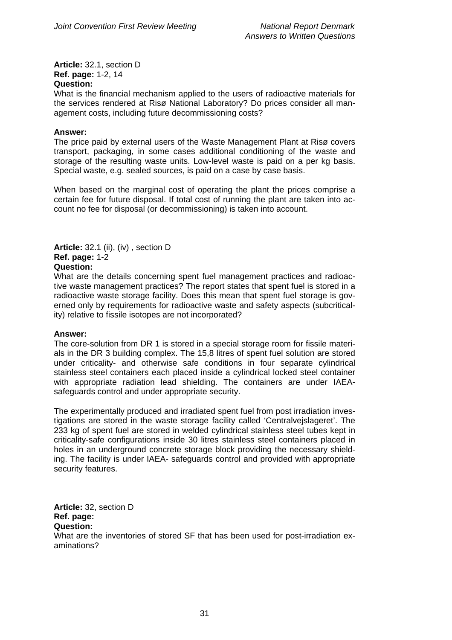**Article:** 32.1, section D **Ref. page:** 1-2, 14 **Question:**

What is the financial mechanism applied to the users of radioactive materials for the services rendered at Risø National Laboratory? Do prices consider all management costs, including future decommissioning costs?

### **Answer:**

The price paid by external users of the Waste Management Plant at Risø covers transport, packaging, in some cases additional conditioning of the waste and storage of the resulting waste units. Low-level waste is paid on a per kg basis. Special waste, e.g. sealed sources, is paid on a case by case basis.

When based on the marginal cost of operating the plant the prices comprise a certain fee for future disposal. If total cost of running the plant are taken into account no fee for disposal (or decommissioning) is taken into account.

### **Article:** 32.1 (ii), (iv) , section D **Ref. page:** 1-2 **Question:**

What are the details concerning spent fuel management practices and radioactive waste management practices? The report states that spent fuel is stored in a radioactive waste storage facility. Does this mean that spent fuel storage is governed only by requirements for radioactive waste and safety aspects (subcriticality) relative to fissile isotopes are not incorporated?

### **Answer:**

The core-solution from DR 1 is stored in a special storage room for fissile materials in the DR 3 building complex. The 15,8 litres of spent fuel solution are stored under criticality- and otherwise safe conditions in four separate cylindrical stainless steel containers each placed inside a cylindrical locked steel container with appropriate radiation lead shielding. The containers are under IAEAsafeguards control and under appropriate security.

The experimentally produced and irradiated spent fuel from post irradiation investigations are stored in the waste storage facility called 'Centralvejslageret'. The 233 kg of spent fuel are stored in welded cylindrical stainless steel tubes kept in criticality-safe configurations inside 30 litres stainless steel containers placed in holes in an underground concrete storage block providing the necessary shielding. The facility is under IAEA- safeguards control and provided with appropriate security features.

**Article:** 32, section D **Ref. page: Question:** What are the inventories of stored SF that has been used for post-irradiation examinations?